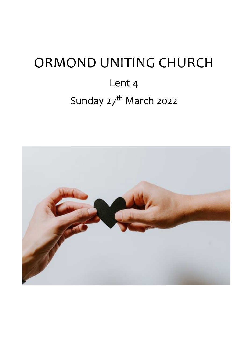# ORMOND UNITING CHURCH Lent 4 Sunday 27<sup>th</sup> March 2022

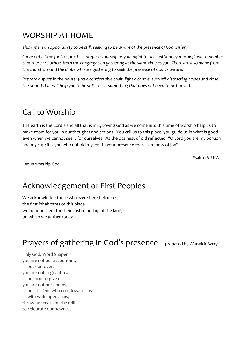# WORSHIP AT HOME

*This time is an opportunity to be still, seeking to be aware of the presence of God within.*

*Carve out a time for this practice; prepare yourself, as you might for a usual Sunday morning and remember that there are others from the congregation gathering at the same time as you. There are also many from the church around the globe who are gathering to seek the presence of God as we are.*

*Prepare a space in the house; find a comfortable chair, light a candle, turn off distracting noises and close the door if that will help you to be still. This is something that does not need to be hurried.*

# Call to Worship

The earth is the Lord's and all that is in it, Loving God as we come into this time of worship help us to make room for you in our thoughts and actions. You call us to this place; you guide us in what is good even when we cannot see it for ourselves. As the psalmist of old reflected. "O Lord you are my portion and my cup; it is you who uphold my lot. In your presence there is fulness of joy"

Psalm 16 UIW

Let us worship God

# Acknowledgement of First Peoples

We acknowledge those who were here before us, the first inhabitants of this place. we honour them for their custodianship of the land, on which we gather today.

Prayers of gathering in God's presence prepared by Warwick Barry

Holy God, Word Shaper: you are not our accountant, but our lover; you are not angry at us, but you forgive us; you are not our enemy, but the One who runs towards us with wide open arms, throwing steaks on the grill to celebrate our newness!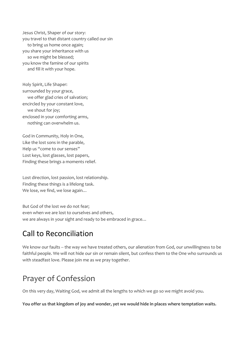Jesus Christ, Shaper of our story: you travel to that distant country called our sin to bring us home once again; you share your inheritance with us so we might be blessed; you know the famine of our spirits and fill it with your hope.

Holy Spirit, Life Shaper: surrounded by your grace, we offer glad cries of salvation; encircled by your constant love, we shout for joy; enclosed in your comforting arms, nothing can overwhelm us.

God in Community, Holy in One, Like the lost sons in the parable, Help us "come to our senses" Lost keys, lost glasses, lost papers, Finding these brings a moments relief.

Lost direction, lost passion, lost relationship. Finding these things is a lifelong task. We lose, we find, we lose again…

But God of the lost we do not fear; even when we are lost to ourselves and others, we are always in your sight and ready to be embraced in grace…

# Call to Reconciliation

We know our faults -- the way we have treated others, our alienation from God, our unwillingness to be faithful people. We will not hide our sin or remain silent, but confess them to the One who surrounds us with steadfast love. Please join me as we pray together.

# Prayer of Confession

On this very day, Waiting God, we admit all the lengths to which we go so we might avoid you**.** 

**You offer us that kingdom of joy and wonder, yet we would hide in places where temptation waits.**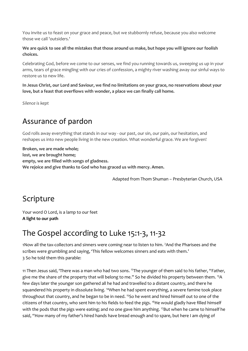You invite us to feast on your grace and peace, but we stubbornly refuse, because you also welcome those we call 'outsiders.'

**We are quick to see all the mistakes that those around us make, but hope you will ignore our foolish choices.**

Celebrating God, before we come to our senses, we find you running towards us, sweeping us up in your arms, tears of grace mingling with our cries of confession, a mighty river washing away our sinful ways to restore us to new life.

**In Jesus Christ, our Lord and Saviour, we find no limitations on your grace, no reservations about your love, but a feast that overflows with wonder, a place we can finally call home.**

*Silence is kept*

## Assurance of pardon

God rolls away everything that stands in our way - our past, our sin, our pain, our hesitation, and reshapes us into new people living in the new creation. What wonderful grace. We are forgiven!

**Broken, we are made whole; lost, we are brought home; empty, we are filled with songs of gladness. We rejoice and give thanks to God who has graced us with mercy. Amen.**

Adapted from Thom Shuman – Presbyterian Church, USA

# Scripture

Your word O Lord, is a lamp to our feet **A light to our path**

# The Gospel according to Luke 15:1-3, 11-32

1Now all the tax-collectors and sinners were coming near to listen to him. <sup>2</sup>And the Pharisees and the scribes were grumbling and saying, 'This fellow welcomes sinners and eats with them.' 3 So he told them this parable:

11 Then Jesus said, 'There was a man who had two sons. <sup>12</sup>The younger of them said to his father, "Father, give me the share of the property that will belong to me." So he divided his property between them. <sup>13</sup>A few days later the younger son gathered all he had and travelled to a distant country, and there he squandered his property in dissolute living. <sup>14</sup>When he had spent everything, a severe famine took place throughout that country, and he began to be in need. <sup>15</sup>So he went and hired himself out to one of the citizens of that country, who sent him to his fields to feed the pigs. <sup>16</sup>He would gladly have filled himself with the pods that the pigs were eating; and no one gave him anything. <sup>17</sup>But when he came to himself he said, "How many of my father's hired hands have bread enough and to spare, but here I am dying of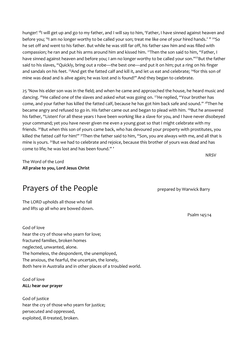hunger! <sup>18</sup>I will get up and go to my father, and I will say to him, 'Father, I have sinned against heaven and before you; <sup>19</sup>I am no longer worthy to be called your son; treat me like one of your hired hands.' "<sup>20</sup>So he set off and went to his father. But while he was still far off, his father saw him and was filled with compassion; he ran and put his arms around him and kissed him. <sup>21</sup>Then the son said to him, "Father, I have sinned against heaven and before you; I am no longer worthy to be called your son."<sup>22</sup>But the father said to his slaves, "Quickly, bring out a robe—the best one—and put it on him; put a ring on his finger and sandals on his feet. <sup>23</sup>And get the fatted calf and kill it, and let us eat and celebrate; <sup>24</sup>for this son of mine was dead and is alive again; he was lost and is found!" And they began to celebrate.

25 'Now his elder son was in the field; and when he came and approached the house, he heard music and dancing. <sup>26</sup>He called one of the slaves and asked what was going on. <sup>27</sup>He replied, "Your brother has come, and your father has killed the fatted calf, because he has got him back safe and sound." <sup>28</sup>Then he became angry and refused to go in. His father came out and began to plead with him. <sup>29</sup>But he answered his father, "Listen! For all these years I have been working like a slave for you, and I have never disobeyed your command; yet you have never given me even a young goat so that I might celebrate with my friends. <sup>30</sup>But when this son of yours came back, who has devoured your property with prostitutes, you killed the fatted calf for him!" <sup>31</sup>Then the father said to him, "Son, you are always with me, and all that is mine is yours. <sup>32</sup>But we had to celebrate and rejoice, because this brother of yours was dead and has come to life; he was lost and has been found." '

The Word of the Lord **All praise to you, Lord Jesus Christ**

### Prayers of the People prepared by Warwick Barry

The LORD upholds all those who fall and lifts up all who are bowed down.

God of love hear the cry of those who yearn for love; fractured families, broken homes neglected, unwanted, alone. The homeless, the despondent, the unemployed, The anxious, the fearful, the uncertain, the lonely, Both here in Australia and in other places of a troubled world.

### God of love **ALL: hear our prayer**

God of justice hear the cry of those who yearn for justice; persecuted and oppressed, exploited, ill-treated, broken.

**NRSV** 

Psalm 145:14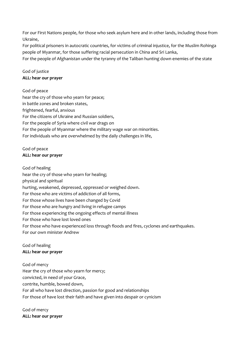For our First Nations people, for those who seek asylum here and in other lands, including those from Ukraine,

For political prisoners in autocratic countries, for victims of criminal injustice, for the Muslim Rohinga people of Myanmar, for those suffering racial persecution in China and Sri Lanka,

For the people of Afghanistan under the tyranny of the Taliban hunting down enemies of the state

### God of justice **ALL: hear our prayer**

### God of peace

hear the cry of those who yearn for peace; in battle zones and broken states, frightened, fearful, anxious For the citizens of Ukraine and Russian soldiers, For the people of Syria where civil war drags on For the people of Myanmar where the military wage war on minorities. For individuals who are overwhelmed by the daily challenges in life,

### God of peace **ALL: hear our prayer**

God of healing hear the cry of those who yearn for healing; physical and spiritual hurting, weakened, depressed, oppressed or weighed down. For those who are victims of addiction of all forms, For those whose lives have been changed by Covid For those who are hungry and living in refugee camps For those experiencing the ongoing effects of mental illness For those who have lost loved ones For those who have experienced loss through floods and fires, cyclones and earthquakes. For our own minister Andrew

### God of healing **ALL: hear our prayer**

God of mercy Hear the cry of those who yearn for mercy; convicted, in need of your Grace, contrite, humble, bowed down, For all who have lost direction, passion for good and relationships For those of have lost their faith and have given into despair or cynicism

God of mercy **ALL: hear our prayer**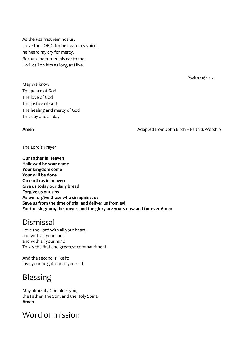As the Psalmist reminds us, I love the LORD, for he heard my voice; he heard my cry for mercy. Because he turned his ear to me, I will call on him as long as I live.

May we know The peace of God The love of God The justice of God The healing and mercy of God This day and all days

**Amen Amen Adapted from John Birch – Faith & Worship Adapted from John Birch – Faith & Worship** 

The Lord's Prayer

**Our Father in Heaven Hallowed be your name Your kingdom come Your will be done On earth as in heaven Give us today our daily bread Forgive us our sins As we forgive those who sin against us Save us from the time of trial and deliver us from evil For the kingdom, the power, and the glory are yours now and for ever Amen**

### Dismissal

Love the Lord with all your heart, and with all your soul, and with all your mind This is the first and greatest commandment.

And the second is like it: love your neighbour as yourself

# Blessing

May almighty God bless you, the Father, the Son, and the Holy Spirit. **Amen**

### Word of mission

Psalm 116: 1,2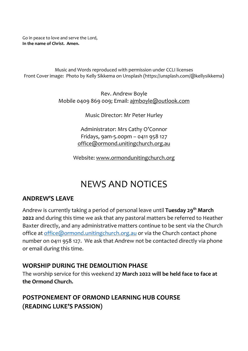Go in peace to love and serve the Lord, **In the name of Christ. Amen.**

Music and Words reproduced with permission under CCLI licenses Front Cover image: Photo by Kelly Sikkema on Unsplash (https://unsplash.com/@kellysikkema)

> Rev. Andrew Boyle Mobile 0409 869 009; Email: [ajmboyle@outlook.com](mailto:ajmboyle@outlook.com)

> > Music Director: Mr Peter Hurley

Administrator: Mrs Cathy O'Connor Fridays, 9am-5.00pm – 0411 958 127 [office@ormond.unitingchurch.org.au](mailto:office@ormond.unitingchurch.org.au)

Website: [www.ormondunitingchurch.org](http://www.ormondunitingchurch.org/)

# NEWS AND NOTICES

### **ANDREW'S LEAVE**

Andrew is currently taking a period of personal leave until **Tuesday 29th March 2022** and during this time we ask that any pastoral matters be referred to Heather Baxter directly, and any administrative matters continue to be sent via the Church office at [office@ormond.unitingchurch.org.au](mailto:office@ormond.unitingchurch.org.au) or via the Church contact phone number on 0411 958 127. We ask that Andrew not be contacted directly via phone or email during this time.

### **WORSHIP DURING THE DEMOLITION PHASE**

The worship service for this weekend **27 March 2022 will be held face to face at the Ormond Church.**

**POSTPONEMENT OF ORMOND LEARNING HUB COURSE (READING LUKE'S PASSION)**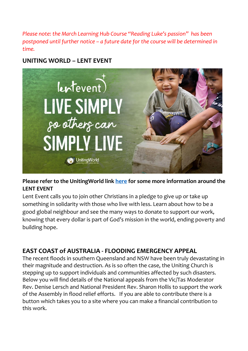*Please note: the March Learning Hub Course "Reading Luke's passion" has been postponed until further notice – a future date for the course will be determined in time.* 

### **UNITING WORLD – LENT EVENT**



### **Please refer to the UnitingWorld link [here](https://unitingworld.org.au/two-ways-to-learn-and-grow-in-2022/) for some more information around the LENT EVENT**

Lent Event calls you to join other Christians in a pledge to give up or take up something in solidarity with those who live with less. Learn about how to be a good global neighbour and see the many ways to donate to support our work, knowing that every dollar is part of God's mission in the world, ending poverty and building hope.

### **EAST COAST of AUSTRALIA - FLOODING EMERGENCY APPEAL**

The recent floods in southern Queensland and NSW have been truly devastating in their magnitude and destruction. As is so often the case, the Uniting Church is stepping up to support individuals and communities affected by such disasters. Below you will find details of the National appeals from the Vic/Tas Moderator Rev. Denise Lersch and National President Rev. Sharon Hollis to support the work of the Assembly in flood relief efforts. If you are able to contribute there is a button which takes you to a site where you can make a financial contribution to this work.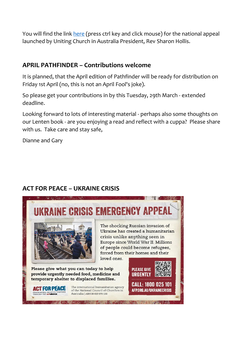You will find the link [here](https://uniting.church/east-coast-flooding-emergency-appeal/) (press ctrl key and click mouse) for the national appeal launched by Uniting Church in Australia President, Rev Sharon Hollis.

### **APRIL PATHFINDER – Contributions welcome**

It is planned, that the April edition of Pathfinder will be ready for distribution on Friday 1st April (no, this is not an April Fool's joke).

So please get your contributions in by this Tuesday, 29th March - extended deadline.

Looking forward to lots of interesting material - perhaps also some thoughts on our Lenten book - are you enjoying a read and reflect with a cuppa? Please share with us. Take care and stay safe,

Dianne and Gary

### **ACT FOR PEACE – UKRAINE CRISIS**